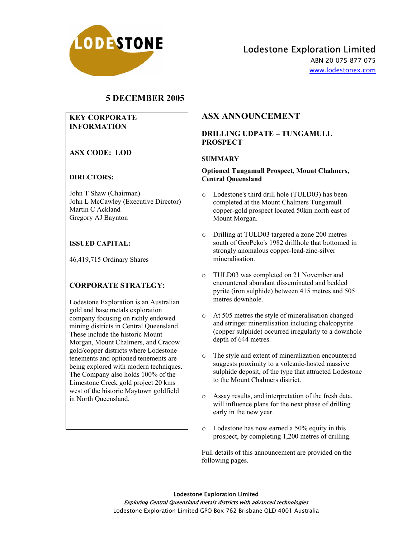

# Lodestone Exploration Limited

ABN 20 075 877 075 www.lodestonex.com

## **5 DECEMBER 2005**

### **KEY CORPORATE INFORMATION**

## **ASX CODE: LOD**

### **DIRECTORS:**

John T Shaw (Chairman) John L McCawley (Executive Director) Martin C Ackland Gregory AJ Baynton

### **ISSUED CAPITAL:**

46,419,715 Ordinary Shares

## **CORPORATE STRATEGY:**

Lodestone Exploration is an Australian gold and base metals exploration company focusing on richly endowed mining districts in Central Queensland. These include the historic Mount Morgan, Mount Chalmers, and Cracow gold/copper districts where Lodestone tenements and optioned tenements are being explored with modern techniques. The Company also holds 100% of the Limestone Creek gold project 20 kms west of the historic Maytown goldfield in North Queensland.

## **ASX ANNOUNCEMENT**

### **DRILLING UDPATE – TUNGAMULL PROSPECT**

#### **SUMMARY**

#### **Optioned Tungamull Prospect, Mount Chalmers, Central Queensland**

- o Lodestone's third drill hole (TULD03) has been completed at the Mount Chalmers Tungamull copper-gold prospect located 50km north east of Mount Morgan.
- o Drilling at TULD03 targeted a zone 200 metres south of GeoPeko's 1982 drillhole that bottomed in strongly anomalous copper-lead-zinc-silver mineralisation.
- o TULD03 was completed on 21 November and encountered abundant disseminated and bedded pyrite (iron sulphide) between 415 metres and 505 metres downhole.
- o At 505 metres the style of mineralisation changed and stringer mineralisation including chalcopyrite (copper sulphide) occurred irregularly to a downhole depth of 644 metres.
- o The style and extent of mineralization encountered suggests proximity to a volcanic-hosted massive sulphide deposit, of the type that attracted Lodestone to the Mount Chalmers district.
- o Assay results, and interpretation of the fresh data, will influence plans for the next phase of drilling early in the new year.
- o Lodestone has now earned a 50% equity in this prospect, by completing 1,200 metres of drilling.

Full details of this announcement are provided on the following pages.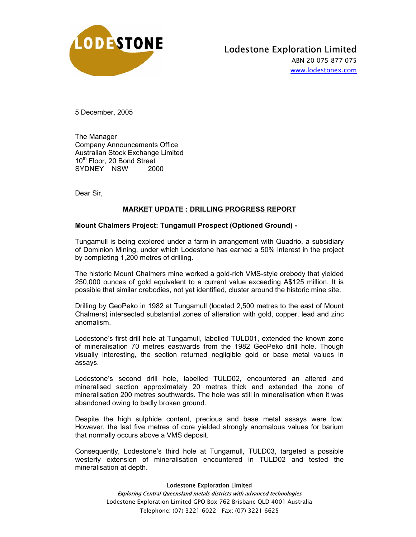

# Lodestone Exploration Limited

ABN 20 075 877 075 www.lodestonex.com

5 December, 2005

The Manager Company Announcements Office Australian Stock Exchange Limited 10<sup>th</sup> Floor, 20 Bond Street SYDNEY NSW 2000

Dear Sir,

## **MARKET UPDATE : DRILLING PROGRESS REPORT**

### **Mount Chalmers Project: Tungamull Prospect (Optioned Ground) -**

Tungamull is being explored under a farm-in arrangement with Quadrio, a subsidiary of Dominion Mining, under which Lodestone has earned a 50% interest in the project by completing 1,200 metres of drilling.

The historic Mount Chalmers mine worked a gold-rich VMS-style orebody that yielded 250,000 ounces of gold equivalent to a current value exceeding A\$125 million. It is possible that similar orebodies, not yet identified, cluster around the historic mine site.

Drilling by GeoPeko in 1982 at Tungamull (located 2,500 metres to the east of Mount Chalmers) intersected substantial zones of alteration with gold, copper, lead and zinc anomalism.

Lodestone's first drill hole at Tungamull, labelled TULD01, extended the known zone of mineralisation 70 metres eastwards from the 1982 GeoPeko drill hole. Though visually interesting, the section returned negligible gold or base metal values in assays.

Lodestone's second drill hole, labelled TULD02, encountered an altered and mineralised section approximately 20 metres thick and extended the zone of mineralisation 200 metres southwards. The hole was still in mineralisation when it was abandoned owing to badly broken ground.

Despite the high sulphide content, precious and base metal assays were low. However, the last five metres of core yielded strongly anomalous values for barium that normally occurs above a VMS deposit.

Consequently, Lodestone's third hole at Tungamull, TULD03, targeted a possible westerly extension of mineralisation encountered in TULD02 and tested the mineralisation at depth.